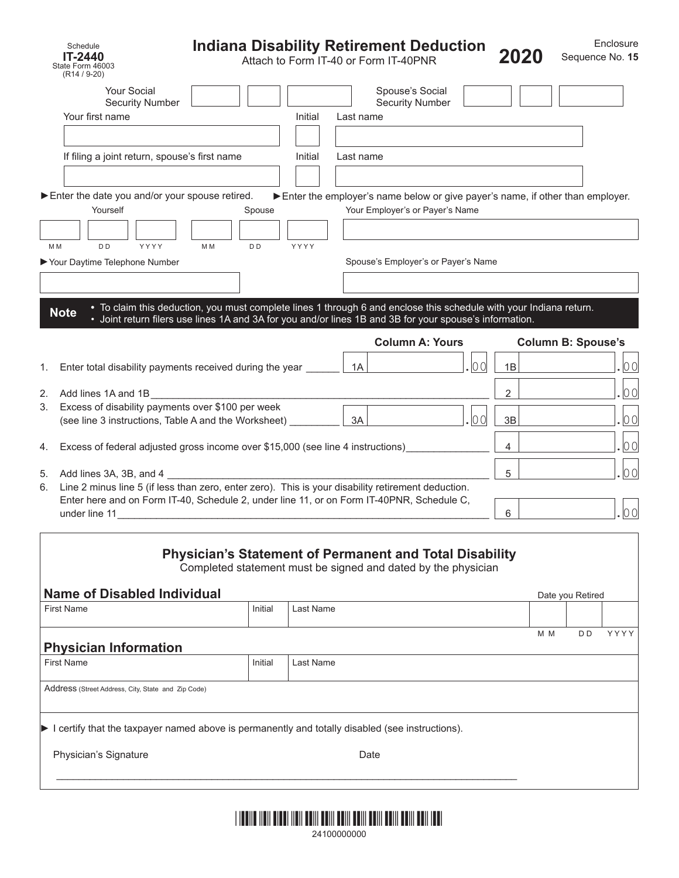| Schedule<br><b>IT-2440</b><br>State Form 46003<br>$(R14 / 9-20)$                                                                                                                                                 | Indiana Disability Retirement Deduction                                                                                                                                                                                       |           |           | Attach to Form IT-40 or Form IT-40PNR                                                                            |        | 2020           |                               |                  | Enclosure<br>Sequence No. 15 |
|------------------------------------------------------------------------------------------------------------------------------------------------------------------------------------------------------------------|-------------------------------------------------------------------------------------------------------------------------------------------------------------------------------------------------------------------------------|-----------|-----------|------------------------------------------------------------------------------------------------------------------|--------|----------------|-------------------------------|------------------|------------------------------|
| Your Social<br><b>Security Number</b>                                                                                                                                                                            |                                                                                                                                                                                                                               |           |           | Spouse's Social<br><b>Security Number</b>                                                                        |        |                |                               |                  |                              |
| Your first name                                                                                                                                                                                                  |                                                                                                                                                                                                                               | Initial   | Last name |                                                                                                                  |        |                |                               |                  |                              |
| If filing a joint return, spouse's first name                                                                                                                                                                    |                                                                                                                                                                                                                               | Initial   | Last name |                                                                                                                  |        |                |                               |                  |                              |
| Enter the date you and/or your spouse retired.<br>Yourself                                                                                                                                                       | Spouse                                                                                                                                                                                                                        |           |           | Enter the employer's name below or give payer's name, if other than employer.<br>Your Employer's or Payer's Name |        |                |                               |                  |                              |
| D <sub>D</sub><br>YYYY<br>M M<br>Your Daytime Telephone Number                                                                                                                                                   | M <sub>M</sub><br>D <sub>D</sub>                                                                                                                                                                                              | YYYY      |           | Spouse's Employer's or Payer's Name                                                                              |        |                |                               |                  |                              |
| <b>Note</b>                                                                                                                                                                                                      | • To claim this deduction, you must complete lines 1 through 6 and enclose this schedule with your Indiana return.<br>· Joint return filers use lines 1A and 3A for you and/or lines 1B and 3B for your spouse's information. |           |           |                                                                                                                  |        |                |                               |                  |                              |
|                                                                                                                                                                                                                  |                                                                                                                                                                                                                               |           |           | <b>Column A: Yours</b>                                                                                           |        |                | <b>Column B: Spouse's</b>     |                  |                              |
| Enter total disability payments received during the year _<br>1.                                                                                                                                                 |                                                                                                                                                                                                                               |           | 1A        |                                                                                                                  | .  0 0 | 1B             |                               |                  | 00                           |
| 2.<br>Add lines 1A and 1B                                                                                                                                                                                        |                                                                                                                                                                                                                               |           |           |                                                                                                                  |        | $\overline{2}$ |                               |                  | 00                           |
| Excess of disability payments over \$100 per week<br>3.<br>(see line 3 instructions, Table A and the Worksheet)                                                                                                  |                                                                                                                                                                                                                               |           | 3A        |                                                                                                                  | . 100  | 3B             |                               |                  | 00                           |
| Excess of federal adjusted gross income over \$15,000 (see line 4 instructions)<br>4.                                                                                                                            |                                                                                                                                                                                                                               |           |           |                                                                                                                  |        |                | 00<br>$\overline{\mathbf{4}}$ |                  |                              |
| 5.<br>Add lines $3A$ , $3B$ , and $4$<br>6.                                                                                                                                                                      |                                                                                                                                                                                                                               | 5         |           |                                                                                                                  | 00     |                |                               |                  |                              |
| Line 2 minus line 5 (if less than zero, enter zero). This is your disability retirement deduction.<br>Enter here and on Form IT-40, Schedule 2, under line 11, or on Form IT-40PNR, Schedule C,<br>under line 11 |                                                                                                                                                                                                                               |           |           |                                                                                                                  |        | 6              |                               |                  | 00                           |
|                                                                                                                                                                                                                  | <b>Physician's Statement of Permanent and Total Disability</b><br>Completed statement must be signed and dated by the physician                                                                                               |           |           |                                                                                                                  |        |                |                               |                  |                              |
| <b>Name of Disabled Individual</b><br><b>First Name</b>                                                                                                                                                          | Initial                                                                                                                                                                                                                       | Last Name |           |                                                                                                                  |        |                |                               | Date you Retired |                              |
|                                                                                                                                                                                                                  |                                                                                                                                                                                                                               |           |           |                                                                                                                  |        |                | M M                           | D D              | YYYY                         |
| <b>Physician Information</b><br><b>First Name</b>                                                                                                                                                                | Initial                                                                                                                                                                                                                       | Last Name |           |                                                                                                                  |        |                |                               |                  |                              |
|                                                                                                                                                                                                                  |                                                                                                                                                                                                                               |           |           |                                                                                                                  |        |                |                               |                  |                              |
| Address (Street Address, City, State and Zip Code)                                                                                                                                                               |                                                                                                                                                                                                                               |           |           |                                                                                                                  |        |                |                               |                  |                              |
| I certify that the taxpayer named above is permanently and totally disabled (see instructions).                                                                                                                  |                                                                                                                                                                                                                               |           |           |                                                                                                                  |        |                |                               |                  |                              |

Physician's Signature **Date** Date Date



 $\mathcal{L}_\mathcal{L} = \{ \mathcal{L}_\mathcal{L} = \{ \mathcal{L}_\mathcal{L} = \{ \mathcal{L}_\mathcal{L} = \{ \mathcal{L}_\mathcal{L} = \{ \mathcal{L}_\mathcal{L} = \{ \mathcal{L}_\mathcal{L} = \{ \mathcal{L}_\mathcal{L} = \{ \mathcal{L}_\mathcal{L} = \{ \mathcal{L}_\mathcal{L} = \{ \mathcal{L}_\mathcal{L} = \{ \mathcal{L}_\mathcal{L} = \{ \mathcal{L}_\mathcal{L} = \{ \mathcal{L}_\mathcal{L} = \{ \mathcal{L}_\mathcal{$